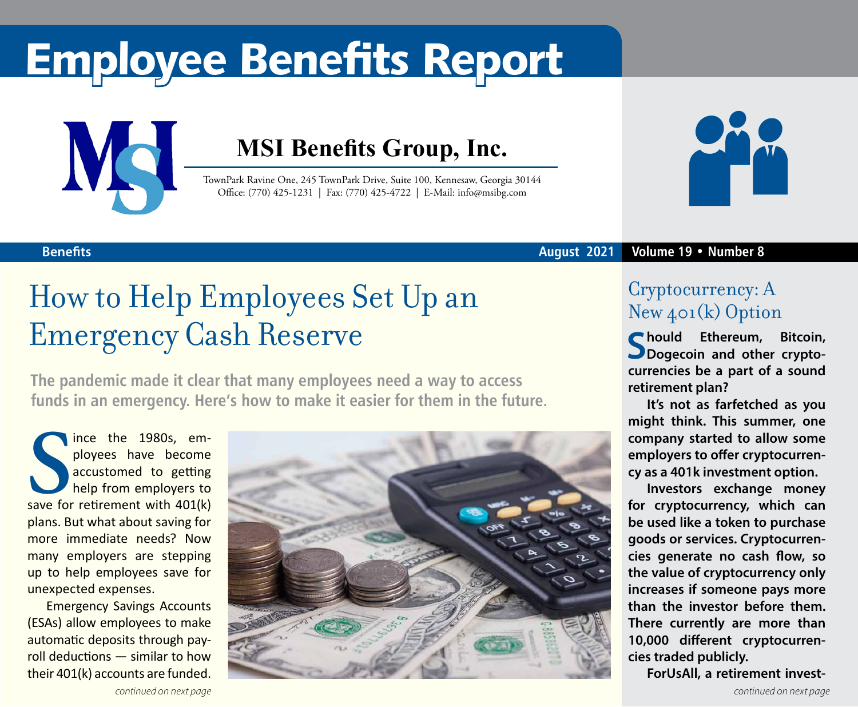# Employee Benefits Report



### **MSI Benefits Group, Inc.**

TownPark Ravine One, 245 TownPark Drive, Suite 100, Kennesaw, Georgia 30144 Office: (770) 425-1231 | Fax: (770) 425-4722 | E-Mail: info@msibg.com



### **August 2021 Volume 19 • Number 8**

### **Benefits**

### How to Help Employees Set Up an Emergency Cash Reserve

**The pandemic made it clear that many employees need a way to access funds in an emergency. Here's how to make it easier for them in the future.**

Fince the 1980s, employees have become<br>
accustomed to getting<br>
help from employers to<br>
save for retirement with 401(k) ince the 1980s, employees have become accustomed to getting help from employers to plans. But what about saving for more immediate needs? Now many employers are stepping up to help employees save for unexpected expenses.

Emergency Savings Accounts (ESAs) allow employees to make automatic deposits through payroll deductions — similar to how their 401(k) accounts are funded.



### Cryptocurrency: A New 401(k) Option

**Should Ethereum, Bitcoin, Dogecoin and other cryptocurrencies be a part of a sound retirement plan?** 

**It's not as farfetched as you might think. This summer, one company started to allow some employers to offer cryptocurrency as a 401k investment option.**

**Investors exchange money for cryptocurrency, which can be used like a token to purchase goods or services. Cryptocurrencies generate no cash flow, so the value of cryptocurrency only increases if someone pays more than the investor before them. There currently are more than 10,000 different cryptocurrencies traded publicly.**

**ForUsAll, a retirement invest-**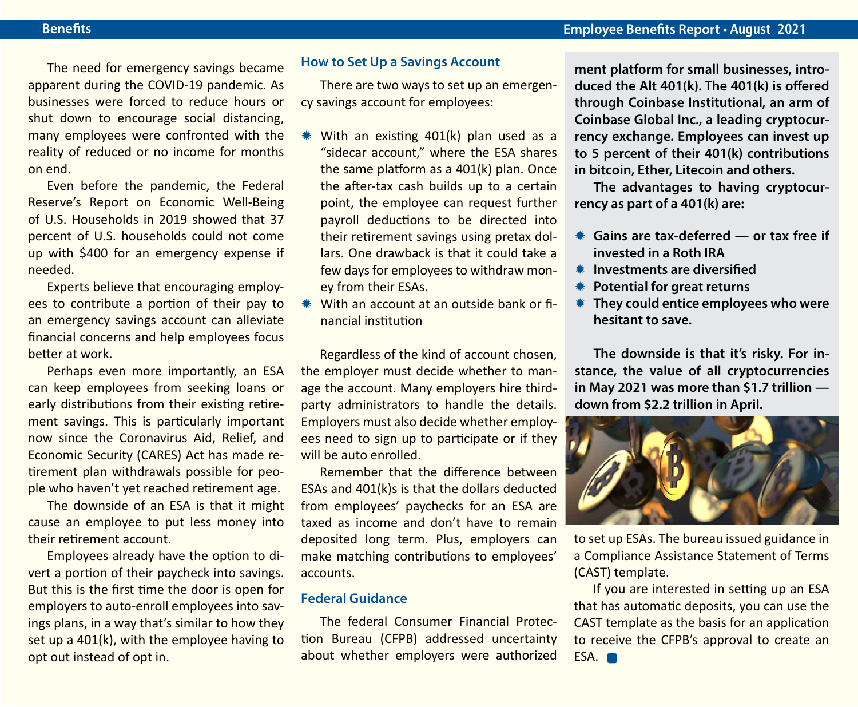The need for emergency savings became apparent during the COVID-19 pandemic. As businesses were forced to reduce hours or shut down to encourage social distancing, many employees were confronted with the reality of reduced or no income for months on end.

Even before the pandemic, the Federal Reserve's Report on Economic Well-Being of U.S. Households in 2019 showed that 37 percent of U.S. households could not come up with \$400 for an emergency expense if needed.

Experts believe that encouraging employees to contribute a portion of their pay to an emergency savings account can alleviate financial concerns and help employees focus better at work.

Perhaps even more importantly, an ESA can keep employees from seeking loans or early distributions from their existing retirement savings. This is particularly important now since the Coronavirus Aid, Relief, and Economic Security (CARES) Act has made retirement plan withdrawals possible for people who haven't yet reached retirement age.

The downside of an ESA is that it might cause an employee to put less money into their retirement account.

Employees already have the option to divert a portion of their paycheck into savings. But this is the first time the door is open for employers to auto-enroll employees into savings plans, in a way that's similar to how they set up a 401(k), with the employee having to opt out instead of opt in.

### **How to Set Up a Savings Account**

There are two ways to set up an emergency savings account for employees:

- $*$  With an existing 401(k) plan used as a "sidecar account," where the ESA shares the same platform as a 401(k) plan. Once the after-tax cash builds up to a certain point, the employee can request further payroll deductions to be directed into their retirement savings using pretax dollars. One drawback is that it could take a few days for employees to withdraw money from their ESAs.
- With an account at an outside bank or financial institution

Regardless of the kind of account chosen, the employer must decide whether to manage the account. Many employers hire thirdparty administrators to handle the details. Employers must also decide whether employees need to sign up to participate or if they will be auto enrolled.

Remember that the difference between ESAs and 401(k)s is that the dollars deducted from employees' paychecks for an ESA are taxed as income and don't have to remain deposited long term. Plus, employers can make matching contributions to employees' accounts.

### **Federal Guidance**

The federal Consumer Financial Protection Bureau (CFPB) addressed uncertainty about whether employers were authorized

**ment platform for small businesses, introduced the Alt 401(k). The 401(k) is offered through Coinbase Institutional, an arm of Coinbase Global Inc., a leading cryptocurrency exchange. Employees can invest up to 5 percent of their 401(k) contributions in bitcoin, Ether, Litecoin and others.**

**The advantages to having cryptocurrency as part of a 401(k) are:**

- **K** Gains are tax-deferred or tax free if **invested in a Roth IRA**
- **\* Investments are diversified**
- **\*\*** Potential for great returns
- **\* They could entice employees who were hesitant to save.**

**The downside is that it's risky. For instance, the value of all cryptocurrencies in May 2021 was more than \$1.7 trillion down from \$2.2 trillion in April.**



to set up ESAs. The bureau issued guidance in a Compliance Assistance Statement of Terms (CAST) template.

If you are interested in setting up an ESA that has automatic deposits, you can use the CAST template as the basis for an application to receive the CFPB's approval to create an ESA.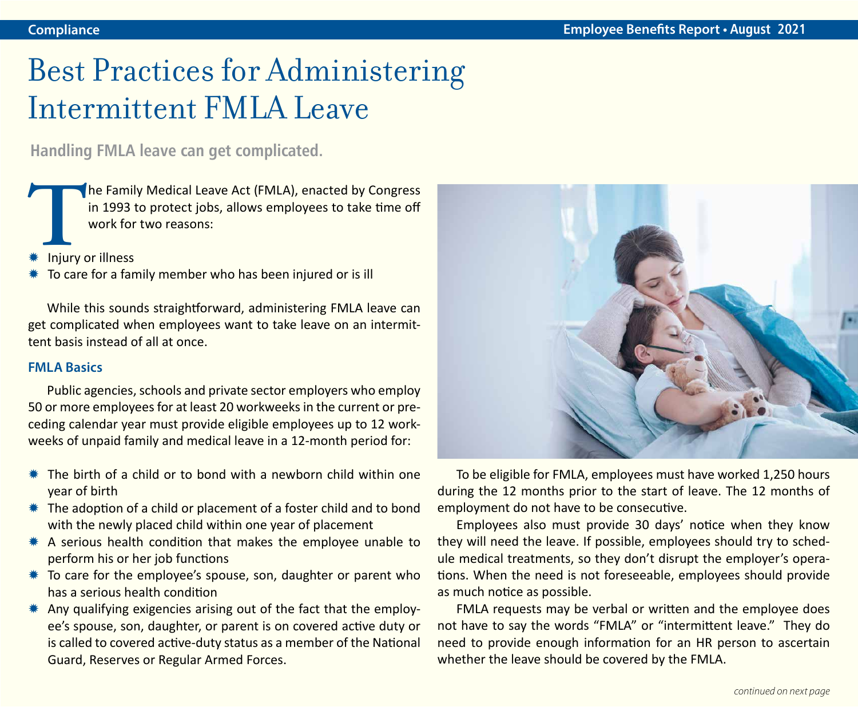### Best Practices for Administering Intermittent FMLA Leave

**Handling FMLA leave can get complicated.**

The Family Medical Leave Act (FMLA), enacted by Congress<br>in 1993 to protect jobs, allows employees to take time off<br>work for two reasons:<br>\* Injury or illness in 1993 to protect jobs, allows employees to take time off work for two reasons:

- Injury or illness
- To care for a family member who has been injured or is ill

While this sounds straightforward, administering FMLA leave can get complicated when employees want to take leave on an intermittent basis instead of all at once.

### **FMLA Basics**

Public agencies, schools and private sector employers who employ 50 or more employees for at least 20 workweeks in the current or preceding calendar year must provide eligible employees up to 12 workweeks of unpaid family and medical leave in a 12-month period for:

- Y The birth of a child or to bond with a newborn child within one year of birth
- $*$  The adoption of a child or placement of a foster child and to bond with the newly placed child within one year of placement
- $*$  A serious health condition that makes the employee unable to perform his or her job functions
- $*$  To care for the employee's spouse, son, daughter or parent who has a serious health condition
- $*$  Any qualifying exigencies arising out of the fact that the employee's spouse, son, daughter, or parent is on covered active duty or is called to covered active-duty status as a member of the National Guard, Reserves or Regular Armed Forces.



To be eligible for FMLA, employees must have worked 1,250 hours during the 12 months prior to the start of leave. The 12 months of employment do not have to be consecutive.

Employees also must provide 30 days' notice when they know they will need the leave. If possible, employees should try to schedule medical treatments, so they don't disrupt the employer's operations. When the need is not foreseeable, employees should provide as much notice as possible.

FMLA requests may be verbal or written and the employee does not have to say the words "FMLA" or "intermittent leave." They do need to provide enough information for an HR person to ascertain whether the leave should be covered by the FMLA.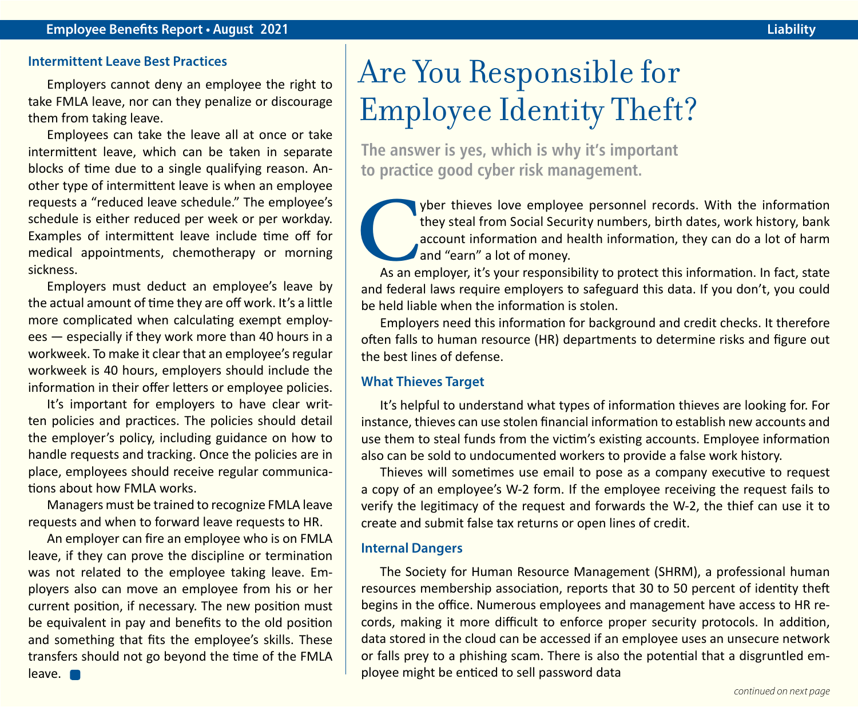#### **Intermittent Leave Best Practices**

Employers cannot deny an employee the right to take FMLA leave, nor can they penalize or discourage them from taking leave.

Employees can take the leave all at once or take intermittent leave, which can be taken in separate blocks of time due to a single qualifying reason. Another type of intermittent leave is when an employee requests a "reduced leave schedule." The employee's schedule is either reduced per week or per workday. Examples of intermittent leave include time off for medical appointments, chemotherapy or morning sickness.

Employers must deduct an employee's leave by the actual amount of time they are off work. It's a little more complicated when calculating exempt employees — especially if they work more than 40 hours in a workweek. To make it clear that an employee's regular workweek is 40 hours, employers should include the information in their offer letters or employee policies.

It's important for employers to have clear written policies and practices. The policies should detail the employer's policy, including guidance on how to handle requests and tracking. Once the policies are in place, employees should receive regular communications about how FMLA works.

Managers must be trained to recognize FMLA leave requests and when to forward leave requests to HR.

An employer can fire an employee who is on FMLA leave, if they can prove the discipline or termination was not related to the employee taking leave. Employers also can move an employee from his or her current position, if necessary. The new position must be equivalent in pay and benefits to the old position and something that fits the employee's skills. These transfers should not go beyond the time of the FMLA leave.

### Are You Responsible for Employee Identity Theft?

**The answer is yes, which is why it's important to practice good cyber risk management.** 

**C**yber thieves love employee personnel records. With the information they steal from Social Security numbers, birth dates, work history, bank account information and health information, they can do a lot of harm and "earn they steal from Social Security numbers, birth dates, work history, bank account information and health information, they can do a lot of harm and "earn" a lot of money.

and federal laws require employers to safeguard this data. If you don't, you could be held liable when the information is stolen.

Employers need this information for background and credit checks. It therefore often falls to human resource (HR) departments to determine risks and figure out the best lines of defense.

### **What Thieves Target**

It's helpful to understand what types of information thieves are looking for. For instance, thieves can use stolen financial information to establish new accounts and use them to steal funds from the victim's existing accounts. Employee information also can be sold to undocumented workers to provide a false work history.

Thieves will sometimes use email to pose as a company executive to request a copy of an employee's W-2 form. If the employee receiving the request fails to verify the legitimacy of the request and forwards the W-2, the thief can use it to create and submit false tax returns or open lines of credit.

### **Internal Dangers**

The Society for Human Resource Management (SHRM), a professional human resources membership association, reports that 30 to 50 percent of identity theft begins in the office. Numerous employees and management have access to HR records, making it more difficult to enforce proper security protocols. In addition, data stored in the cloud can be accessed if an employee uses an unsecure network or falls prey to a phishing scam. There is also the potential that a disgruntled employee might be enticed to sell password data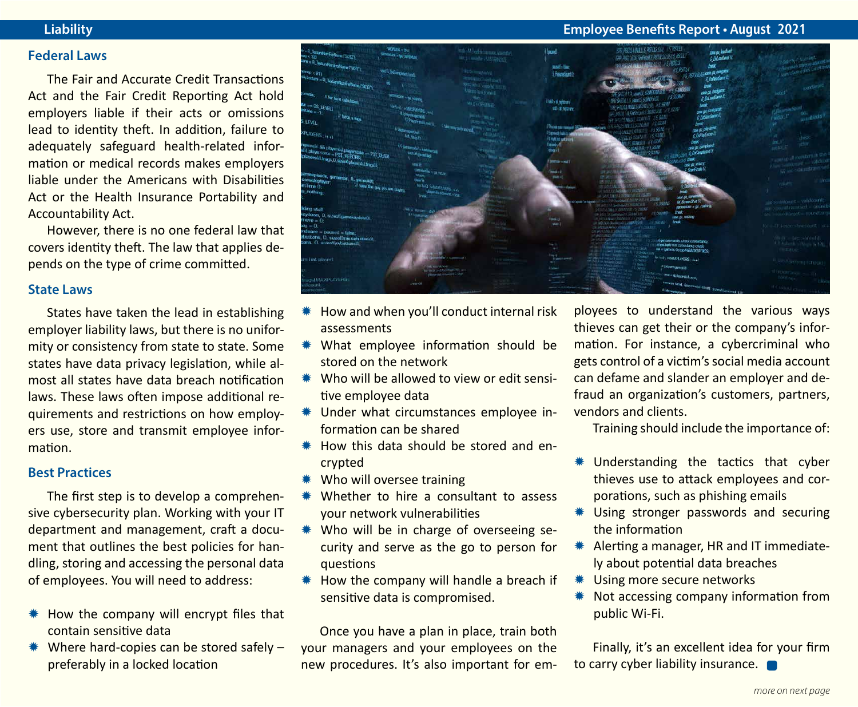#### **Federal Laws**

The Fair and Accurate Credit Transactions Act and the Fair Credit Reporting Act hold employers liable if their acts or omissions lead to identity theft. In addition, failure to adequately safeguard health-related information or medical records makes employers liable under the Americans with Disabilities Act or the Health Insurance Portability and Accountability Act.

However, there is no one federal law that covers identity theft. The law that applies depends on the type of crime committed.

### **State Laws**

States have taken the lead in establishing employer liability laws, but there is no uniformity or consistency from state to state. Some states have data privacy legislation, while almost all states have data breach notification laws. These laws often impose additional requirements and restrictions on how employers use, store and transmit employee information.

#### **Best Practices**

The first step is to develop a comprehensive cybersecurity plan. Working with your IT department and management, craft a document that outlines the best policies for handling, storing and accessing the personal data of employees. You will need to address:

- $*$  How the company will encrypt files that contain sensitive data
- $*$  Where hard-copies can be stored safely preferably in a locked location

### **Liability Employee Benefits Report • August 2021**



- $*$  How and when you'll conduct internal risk **assessments**
- \* What employee information should be stored on the network
- Who will be allowed to view or edit sensitive employee data
- \* Under what circumstances employee information can be shared
- $*$  How this data should be stored and encrypted
- \* Who will oversee training
- Whether to hire a consultant to assess your network vulnerabilities
- \* Who will be in charge of overseeing security and serve as the go to person for questions
- $*$  How the company will handle a breach if sensitive data is compromised.

Once you have a plan in place, train both your managers and your employees on the new procedures. It's also important for employees to understand the various ways thieves can get their or the company's information. For instance, a cybercriminal who gets control of a victim's social media account can defame and slander an employer and defraud an organization's customers, partners, vendors and clients.

Training should include the importance of:

- \* Understanding the tactics that cyber thieves use to attack employees and corporations, such as phishing emails
- \* Using stronger passwords and securing the information
- \* Alerting a manager, HR and IT immediately about potential data breaches
- \* Using more secure networks
- \* Not accessing company information from public Wi-Fi.

Finally, it's an excellent idea for your firm to carry cyber liability insurance.